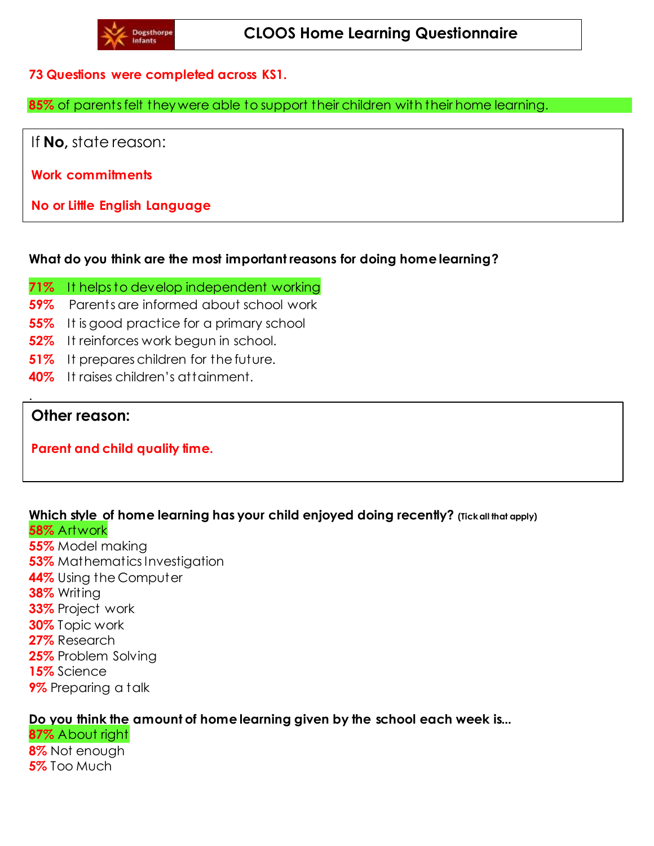### **73 Questions were completed across KS1.**

**85%** of parents felt they were able to support their children with their home learning.

If **No,** state reason:

**Work commitments**

**No or Little English Language**

#### **What do you think are the most important reasons for doing home learning?**

- **71%** It helps to develop independent working
- **59%** Parents are informed about school work
- **55%** It is good practice for a primary school
- **52%** It reinforces work begun in school.
- **51%** It prepares children for the future.
- **40%** It raises children's attainment.

# **Other reason:**

.

**Parent and child quality time.**

## **Which style of home learning has your child enjoyed doing recently? (Tick all that apply) 58%** Artwork

**55%** Model making **53%** Mathematics Investigation **44%** Using the Computer **38%** Writing **33%** Project work **30%** Topic work **27%** Research **25%** Problem Solving **15%** Science **9%** Preparing a talk

## **Do you think the amount of home learning given by the school each week is...**

**87%** About right **8%** Not enough **5%** Too Much